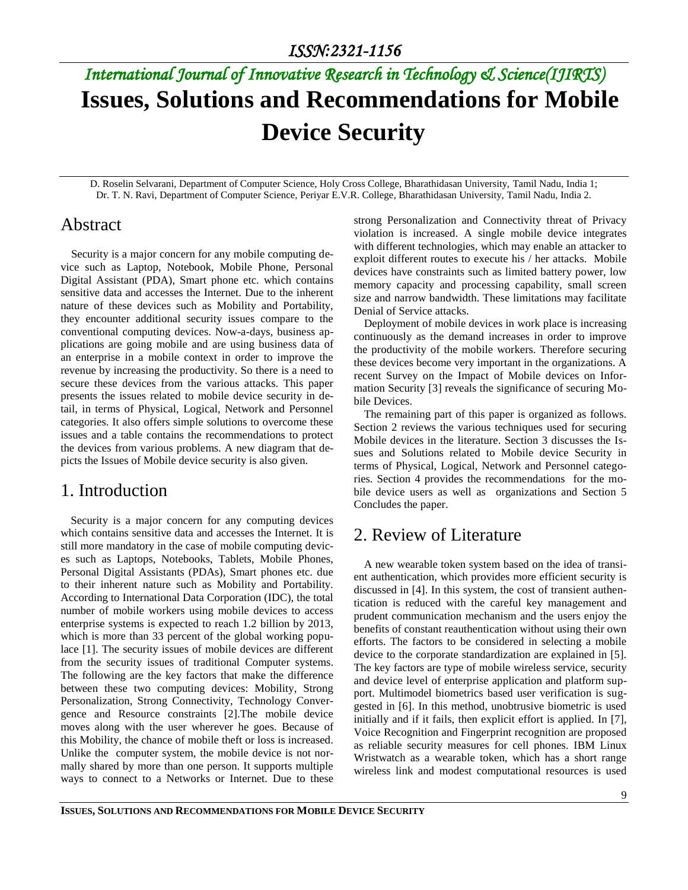# *International Journal of Innovative Research in Technology & Science(IJIRTS)* **Issues, Solutions and Recommendations for Mobile Device Security**

D. Roselin Selvarani, Department of Computer Science, Holy Cross College, Bharathidasan University, Tamil Nadu, India 1; Dr. T. N. Ravi, Department of Computer Science, Periyar E.V.R. College, Bharathidasan University, Tamil Nadu, India 2.

## Abstract

Security is a major concern for any mobile computing device such as Laptop, Notebook, Mobile Phone, Personal Digital Assistant (PDA), Smart phone etc. which contains sensitive data and accesses the Internet. Due to the inherent nature of these devices such as Mobility and Portability, they encounter additional security issues compare to the conventional computing devices. Now-a-days, business applications are going mobile and are using business data of an enterprise in a mobile context in order to improve the revenue by increasing the productivity. So there is a need to secure these devices from the various attacks. This paper presents the issues related to mobile device security in detail, in terms of Physical, Logical, Network and Personnel categories. It also offers simple solutions to overcome these issues and a table contains the recommendations to protect the devices from various problems. A new diagram that depicts the Issues of Mobile device security is also given.

## 1. Introduction

Security is a major concern for any computing devices which contains sensitive data and accesses the Internet. It is still more mandatory in the case of mobile computing devices such as Laptops, Notebooks, Tablets, Mobile Phones, Personal Digital Assistants (PDAs), Smart phones etc. due to their inherent nature such as Mobility and Portability. According to International Data Corporation (IDC), the total number of mobile workers using mobile devices to access enterprise systems is expected to reach 1.2 billion by 2013, which is more than 33 percent of the global working populace [1]. The security issues of mobile devices are different from the security issues of traditional Computer systems. The following are the key factors that make the difference between these two computing devices: Mobility, Strong Personalization, Strong Connectivity, Technology Convergence and Resource constraints [2].The mobile device moves along with the user wherever he goes. Because of this Mobility, the chance of mobile theft or loss is increased. Unlike the computer system, the mobile device is not normally shared by more than one person. It supports multiple ways to connect to a Networks or Internet. Due to these

strong Personalization and Connectivity threat of Privacy violation is increased. A single mobile device integrates with different technologies, which may enable an attacker to exploit different routes to execute his / her attacks. Mobile devices have constraints such as limited battery power, low memory capacity and processing capability, small screen size and narrow bandwidth. These limitations may facilitate Denial of Service attacks.

Deployment of mobile devices in work place is increasing continuously as the demand increases in order to improve the productivity of the mobile workers. Therefore securing these devices become very important in the organizations. A recent Survey on the Impact of Mobile devices on Information Security [3] reveals the significance of securing Mobile Devices.

The remaining part of this paper is organized as follows. Section 2 reviews the various techniques used for securing Mobile devices in the literature. Section 3 discusses the Issues and Solutions related to Mobile device Security in terms of Physical, Logical, Network and Personnel categories. Section 4 provides the recommendations for the mobile device users as well as organizations and Section 5 Concludes the paper.

## 2. Review of Literature

A new wearable token system based on the idea of transient authentication, which provides more efficient security is discussed in [4]. In this system, the cost of transient authentication is reduced with the careful key management and prudent communication mechanism and the users enjoy the benefits of constant reauthentication without using their own efforts. The factors to be considered in selecting a mobile device to the corporate standardization are explained in [5]. The key factors are type of mobile wireless service, security and device level of enterprise application and platform support. Multimodel biometrics based user verification is suggested in [6]. In this method, unobtrusive biometric is used initially and if it fails, then explicit effort is applied. In [7], Voice Recognition and Fingerprint recognition are proposed as reliable security measures for cell phones. IBM Linux Wristwatch as a wearable token, which has a short range wireless link and modest computational resources is used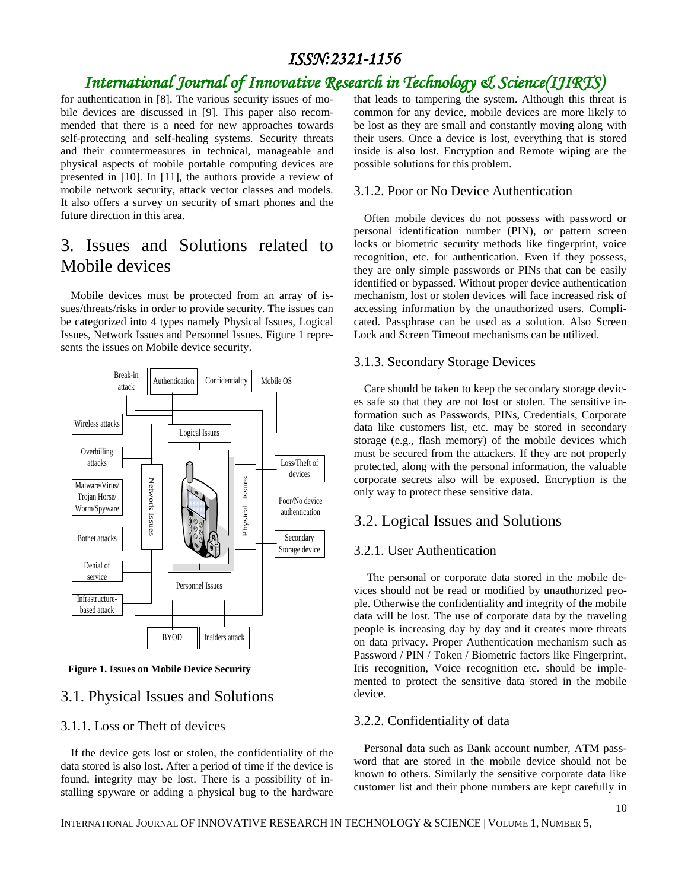# *ISSN:2321-1156*

# *International Journal of Innovative Research in Technology & Science(IJIRTS)*

for authentication in [8]. The various security issues of mobile devices are discussed in [9]. This paper also recommended that there is a need for new approaches towards self-protecting and self-healing systems. Security threats and their countermeasures in technical, manageable and physical aspects of mobile portable computing devices are presented in [10]. In [11], the authors provide a review of mobile network security, attack vector classes and models. It also offers a survey on security of smart phones and the future direction in this area.

# 3. Issues and Solutions related to Mobile devices

Mobile devices must be protected from an array of issues/threats/risks in order to provide security. The issues can be categorized into 4 types namely Physical Issues, Logical Issues, Network Issues and Personnel Issues. Figure 1 represents the issues on Mobile device security.



 **Figure 1. Issues on Mobile Device Security**

## 3.1. Physical Issues and Solutions

### 3.1.1. Loss or Theft of devices

If the device gets lost or stolen, the confidentiality of the data stored is also lost. After a period of time if the device is found, integrity may be lost. There is a possibility of installing spyware or adding a physical bug to the hardware that leads to tampering the system. Although this threat is common for any device, mobile devices are more likely to be lost as they are small and constantly moving along with their users. Once a device is lost, everything that is stored inside is also lost. Encryption and Remote wiping are the possible solutions for this problem.

#### 3.1.2. Poor or No Device Authentication

Often mobile devices do not possess with password or personal identification number (PIN), or pattern screen locks or biometric security methods like fingerprint, voice recognition, etc. for authentication. Even if they possess, they are only simple passwords or PINs that can be easily identified or bypassed. Without proper device authentication mechanism, lost or stolen devices will face increased risk of accessing information by the unauthorized users. Complicated. Passphrase can be used as a solution. Also Screen Lock and Screen Timeout mechanisms can be utilized.

#### 3.1.3. Secondary Storage Devices

Care should be taken to keep the secondary storage devices safe so that they are not lost or stolen. The sensitive information such as Passwords, PINs, Credentials, Corporate data like customers list, etc*.* may be stored in secondary storage (e.g., flash memory) of the mobile devices which must be secured from the attackers. If they are not properly protected, along with the personal information, the valuable corporate secrets also will be exposed. Encryption is the only way to protect these sensitive data.

### 3.2. Logical Issues and Solutions

### 3.2.1. User Authentication

The personal or corporate data stored in the mobile devices should not be read or modified by unauthorized people. Otherwise the confidentiality and integrity of the mobile data will be lost. The use of corporate data by the traveling people is increasing day by day and it creates more threats on data privacy. Proper Authentication mechanism such as Password / PIN / Token / Biometric factors like Fingerprint, Iris recognition, Voice recognition etc. should be implemented to protect the sensitive data stored in the mobile device.

### 3.2.2. Confidentiality of data

Personal data such as Bank account number, ATM password that are stored in the mobile device should not be known to others. Similarly the sensitive corporate data like customer list and their phone numbers are kept carefully in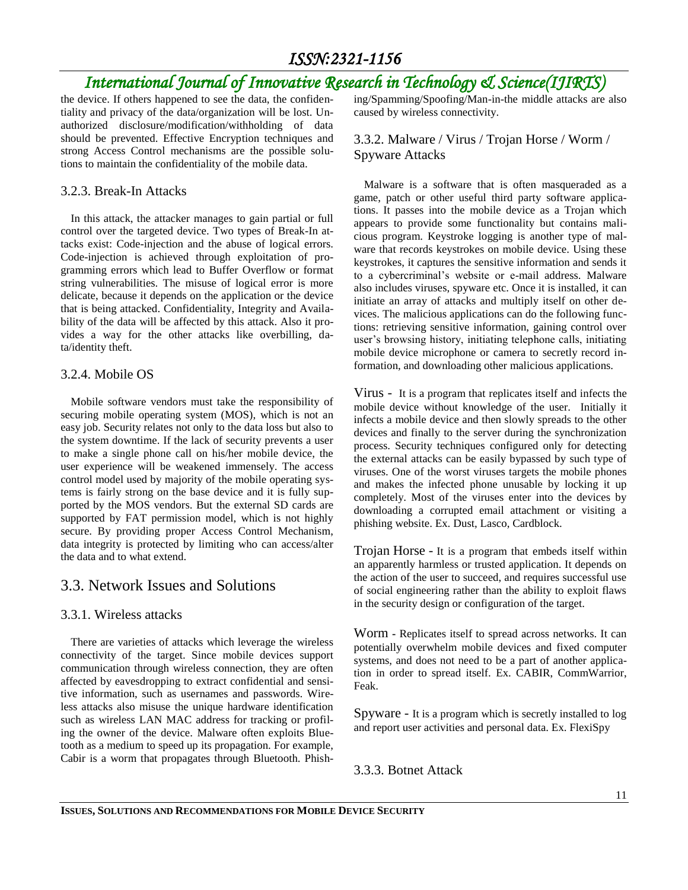## *ISSN:2321-1156*

# *International Journal of Innovative Research in Technology & Science(IJIRTS)*

the device. If others happened to see the data, the confidentiality and privacy of the data/organization will be lost. Unauthorized disclosure/modification/withholding of data should be prevented. Effective Encryption techniques and strong Access Control mechanisms are the possible solutions to maintain the confidentiality of the mobile data.

#### 3.2.3. Break-In Attacks

In this attack, the attacker manages to gain partial or full control over the targeted device. Two types of Break-In attacks exist: Code-injection and the abuse of logical errors. Code-injection is achieved through exploitation of programming errors which lead to Buffer Overflow or format string vulnerabilities. The misuse of logical error is more delicate, because it depends on the application or the device that is being attacked. Confidentiality, Integrity and Availability of the data will be affected by this attack. Also it provides a way for the other attacks like overbilling, data/identity theft.

#### 3.2.4. Mobile OS

Mobile software vendors must take the responsibility of securing mobile operating system (MOS), which is not an easy job. Security relates not only to the data loss but also to the system downtime. If the lack of security prevents a user to make a single phone call on his/her mobile device, the user experience will be weakened immensely. The access control model used by majority of the mobile operating systems is fairly strong on the base device and it is fully supported by the MOS vendors. But the external SD cards are supported by FAT permission model, which is not highly secure. By providing proper Access Control Mechanism, data integrity is protected by limiting who can access/alter the data and to what extend.

## 3.3. Network Issues and Solutions

### 3.3.1. Wireless attacks

There are varieties of attacks which leverage the wireless connectivity of the target. Since mobile devices support communication through wireless connection, they are often affected by eavesdropping to extract confidential and sensitive information, such as usernames and passwords. Wireless attacks also misuse the unique hardware identification such as wireless LAN MAC address for tracking or profiling the owner of the device. Malware often exploits Bluetooth as a medium to speed up its propagation. For example, Cabir is a worm that propagates through Bluetooth. Phishing/Spamming/Spoofing/Man-in-the middle attacks are also caused by wireless connectivity.

3.3.2. Malware / Virus / Trojan Horse / Worm / Spyware Attacks

Malware is a software that is often masqueraded as a game, patch or other useful third party software applications. It passes into the mobile device as a Trojan which appears to provide some functionality but contains malicious program. Keystroke logging is another type of malware that records keystrokes on mobile device. Using these keystrokes, it captures the sensitive information and sends it to a cybercriminal's website or e-mail address. Malware also includes viruses, spyware etc. Once it is installed, it can initiate an array of attacks and multiply itself on other devices. The malicious applications can do the following functions: retrieving sensitive information, gaining control over user's browsing history, initiating telephone calls, initiating mobile device microphone or camera to secretly record information, and downloading other malicious applications.

Virus - It is a program that replicates itself and infects the mobile device without knowledge of the user. Initially it infects a mobile device and then slowly spreads to the other devices and finally to the server during the synchronization process. Security techniques configured only for detecting the external attacks can be easily bypassed by such type of viruses. One of the worst viruses targets the mobile phones and makes the infected phone unusable by locking it up completely. Most of the viruses enter into the devices by downloading a corrupted email attachment or visiting a phishing website. Ex. Dust, Lasco, Cardblock.

Trojan Horse - It is a program that embeds itself within an apparently harmless or trusted application. It depends on the action of the user to succeed, and requires successful use of social engineering rather than the ability to exploit flaws in the security design or configuration of the target.

Worm **-** Replicates itself to spread across networks. It can potentially overwhelm mobile devices and fixed computer systems, and does not need to be a part of another application in order to spread itself. Ex. CABIR, CommWarrior, Feak.

Spyware - It is a program which is secretly installed to log and report user activities and personal data. Ex. FlexiSpy

3.3.3. Botnet Attack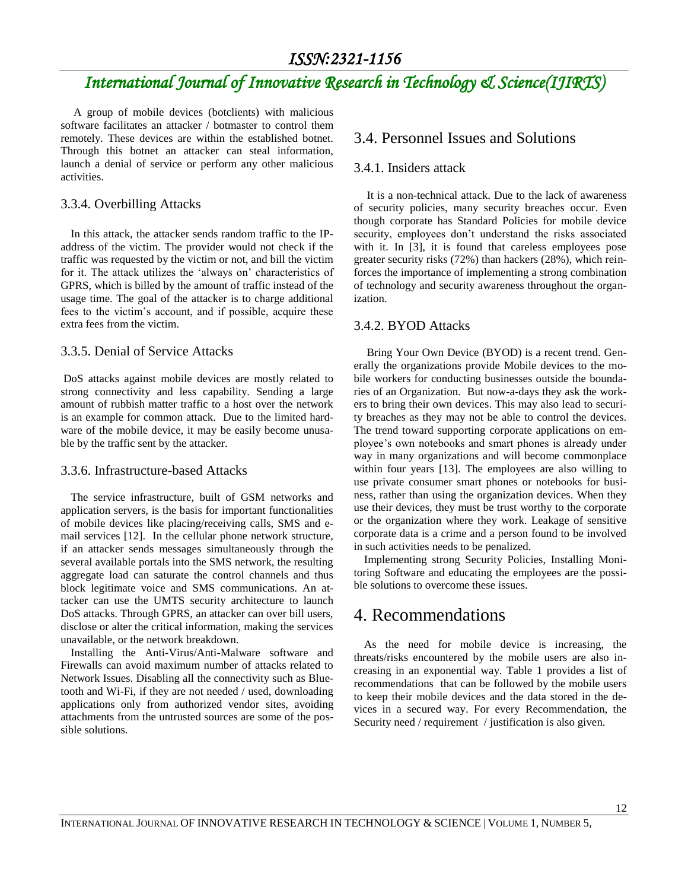# *International Journal of Innovative Research in Technology & Science(IJIRTS)*

A group of mobile devices (botclients) with malicious software facilitates an attacker / botmaster to control them remotely. These devices are within the established botnet. Through this botnet an attacker can steal information, launch a denial of service or perform any other malicious activities.

#### 3.3.4. Overbilling Attacks

In this attack, the attacker sends random traffic to the IPaddress of the victim. The provider would not check if the traffic was requested by the victim or not, and bill the victim for it. The attack utilizes the 'always on' characteristics of GPRS, which is billed by the amount of traffic instead of the usage time. The goal of the attacker is to charge additional fees to the victim's account, and if possible, acquire these extra fees from the victim.

#### 3.3.5. Denial of Service Attacks

DoS attacks against mobile devices are mostly related to strong connectivity and less capability. Sending a large amount of rubbish matter traffic to a host over the network is an example for common attack.Due to the limited hardware of the mobile device, it may be easily become unusable by the traffic sent by the attacker.

#### 3.3.6. Infrastructure-based Attacks

The service infrastructure, built of GSM networks and application servers, is the basis for important functionalities of mobile devices like placing/receiving calls, SMS and email services [12]. In the cellular phone network structure, if an attacker sends messages simultaneously through the several available portals into the SMS network, the resulting aggregate load can saturate the control channels and thus block legitimate voice and SMS communications. An attacker can use the UMTS security architecture to launch DoS attacks. Through GPRS, an attacker can over bill users, disclose or alter the critical information, making the services unavailable, or the network breakdown.

Installing the Anti-Virus/Anti-Malware software and Firewalls can avoid maximum number of attacks related to Network Issues. Disabling all the connectivity such as Bluetooth and Wi-Fi, if they are not needed / used, downloading applications only from authorized vendor sites, avoiding attachments from the untrusted sources are some of the possible solutions.

### 3.4. Personnel Issues and Solutions

#### 3.4.1. Insiders attack

It is a non-technical attack. Due to the lack of awareness of security policies, many security breaches occur. Even though corporate has Standard Policies for mobile device security, employees don't understand the risks associated with it. In [3], it is found that careless employees pose greater security risks (72%) than hackers (28%), which reinforces the importance of implementing a strong combination of technology and security awareness throughout the organization.

#### 3.4.2. BYOD Attacks

Bring Your Own Device (BYOD) is a recent trend. Generally the organizations provide Mobile devices to the mobile workers for conducting businesses outside the boundaries of an Organization. But now-a-days they ask the workers to bring their own devices. This may also lead to security breaches as they may not be able to control the devices. The trend toward supporting corporate applications on employee's own notebooks and smart phones is already under way in many organizations and will become commonplace within four years [13]. The employees are also willing to use private consumer smart phones or notebooks for business, rather than using the organization devices. When they use their devices, they must be trust worthy to the corporate or the organization where they work. Leakage of sensitive corporate data is a crime and a person found to be involved in such activities needs to be penalized.

Implementing strong Security Policies, Installing Monitoring Software and educating the employees are the possible solutions to overcome these issues.

## 4. Recommendations

As the need for mobile device is increasing, the threats/risks encountered by the mobile users are also increasing in an exponential way. Table 1 provides a list of recommendations that can be followed by the mobile users to keep their mobile devices and the data stored in the devices in a secured way. For every Recommendation, the Security need / requirement / justification is also given.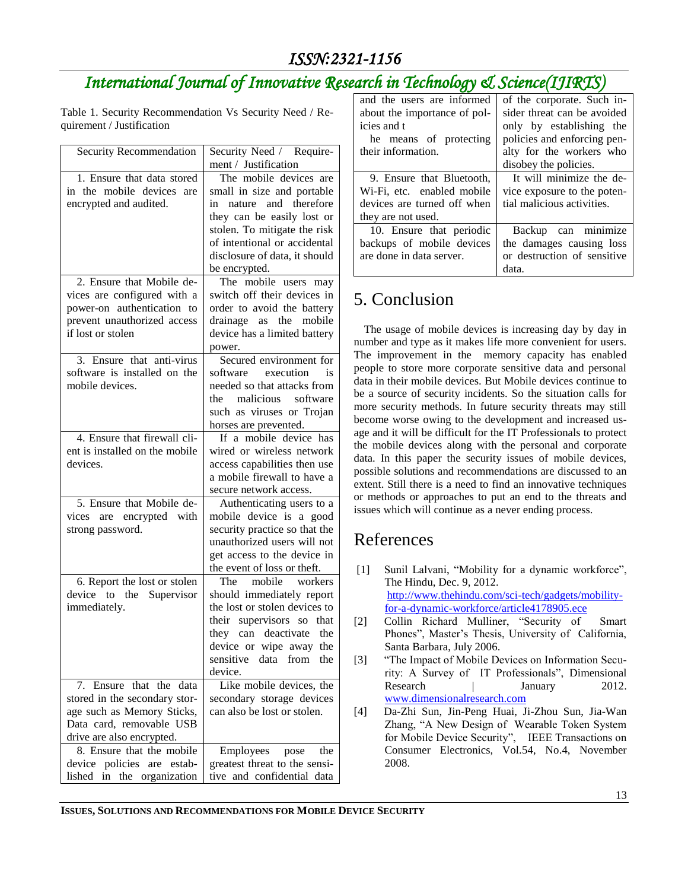# *International Journal of Innovative Research in Technology & Science(IJIRTS)*

Table 1. Security Recommendation Vs Security Need / Requirement / Justification

| Security Recommendation                                                                                                                                  | Security Need / Require-<br>ment / Justification                                                                                                                                                                                |
|----------------------------------------------------------------------------------------------------------------------------------------------------------|---------------------------------------------------------------------------------------------------------------------------------------------------------------------------------------------------------------------------------|
| 1. Ensure that data stored<br>in the mobile devices<br>are<br>encrypted and audited.                                                                     | The mobile devices are<br>small in size and portable<br>in nature and therefore<br>they can be easily lost or<br>stolen. To mitigate the risk<br>of intentional or accidental<br>disclosure of data, it should<br>be encrypted. |
| 2. Ensure that Mobile $\overline{de}$ -<br>vices are configured with a<br>power-on authentication to<br>prevent unauthorized access<br>if lost or stolen | The mobile users may<br>switch off their devices in<br>order to avoid the battery<br>drainage as the<br>mobile<br>device has a limited battery<br>power.                                                                        |
| 3. Ensure that anti-virus<br>software is installed on the<br>mobile devices.                                                                             | Secured environment for<br>software execution<br>is<br>needed so that attacks from<br>the malicious<br>software<br>such as viruses or Trojan<br>horses are prevented.                                                           |
| 4. Ensure that firewall cli-<br>ent is installed on the mobile<br>devices.                                                                               | If a mobile device has<br>wired or wireless network<br>access capabilities then use<br>a mobile firewall to have a<br>secure network access.                                                                                    |
| 5. Ensure that Mobile de-<br>vices are encrypted<br>with<br>strong password.                                                                             | Authenticating users to a<br>mobile device is a good<br>security practice so that the<br>unauthorized users will not<br>get access to the device in<br>the event of loss or theft.                                              |
| 6. Report the lost or stolen<br>device to the Supervisor<br>immediately.                                                                                 | The<br>mobile workers<br>should immediately report<br>the lost or stolen devices to<br>their supervisors so that<br>they can deactivate the<br>device or wipe away the<br>sensitive data from<br>the<br>device.                 |
| 7. Ensure that the data<br>stored in the secondary stor-<br>age such as Memory Sticks,<br>Data card, removable USB<br>drive are also encrypted.          | Like mobile devices, the<br>secondary storage devices<br>can also be lost or stolen.                                                                                                                                            |
| 8. Ensure that the mobile<br>policies are estab-<br>device<br>lished in the organization                                                                 | Employees pose<br>the<br>greatest threat to the sensi-<br>tive and confidential data                                                                                                                                            |

| and the users are informed   | of the corporate. Such in-  |
|------------------------------|-----------------------------|
| about the importance of pol- | sider threat can be avoided |
| icies and t                  | only by establishing the    |
| he means of protecting       | policies and enforcing pen- |
| their information.           | alty for the workers who    |
|                              | disobey the policies.       |
| 9. Ensure that Bluetooth,    | It will minimize the de-    |
| Wi-Fi, etc. enabled mobile   | vice exposure to the poten- |
| devices are turned off when  | tial malicious activities.  |
| they are not used.           |                             |
| 10. Ensure that periodic     | Backup can minimize         |
| backups of mobile devices    | the damages causing loss    |
| are done in data server.     | or destruction of sensitive |
|                              | data.                       |

# 5. Conclusion

The usage of mobile devices is increasing day by day in number and type as it makes life more convenient for users. The improvement in the memory capacity has enabled people to store more corporate sensitive data and personal data in their mobile devices. But Mobile devices continue to be a source of security incidents. So the situation calls for more security methods. In future security threats may still become worse owing to the development and increased usage and it will be difficult for the IT Professionals to protect the mobile devices along with the personal and corporate data. In this paper the security issues of mobile devices, possible solutions and recommendations are discussed to an extent. Still there is a need to find an innovative techniques or methods or approaches to put an end to the threats and issues which will continue as a never ending process.

# References

- [1] Sunil Lalvani, "Mobility for a dynamic workforce", The Hindu, Dec. 9, 2012. [http://www.thehindu.com/sci-tech/gadgets/mobility](http://www.thehindu.com/sci-tech/gadgets/mobility-for-a-dynamic-workforce/article4178905.ece)[for-a-dynamic-workforce/article4178905.ece](http://www.thehindu.com/sci-tech/gadgets/mobility-for-a-dynamic-workforce/article4178905.ece)
- [2] Collin Richard Mulliner, "Security of Smart Phones", Master's Thesis, University of California, Santa Barbara, July 2006.
- [3] "The Impact of Mobile Devices on Information Security: A Survey of IT Professionals", Dimensional Research | January 2012. [www.dimensionalresearch.com](http://www.dimensionalresearch.com/)
- [4] Da-Zhi Sun, Jin-Peng Huai, Ji-Zhou Sun, Jia-Wan Zhang, "A New Design of Wearable Token System for Mobile Device Security", IEEE Transactions on Consumer Electronics, Vol.54, No.4, November 2008.